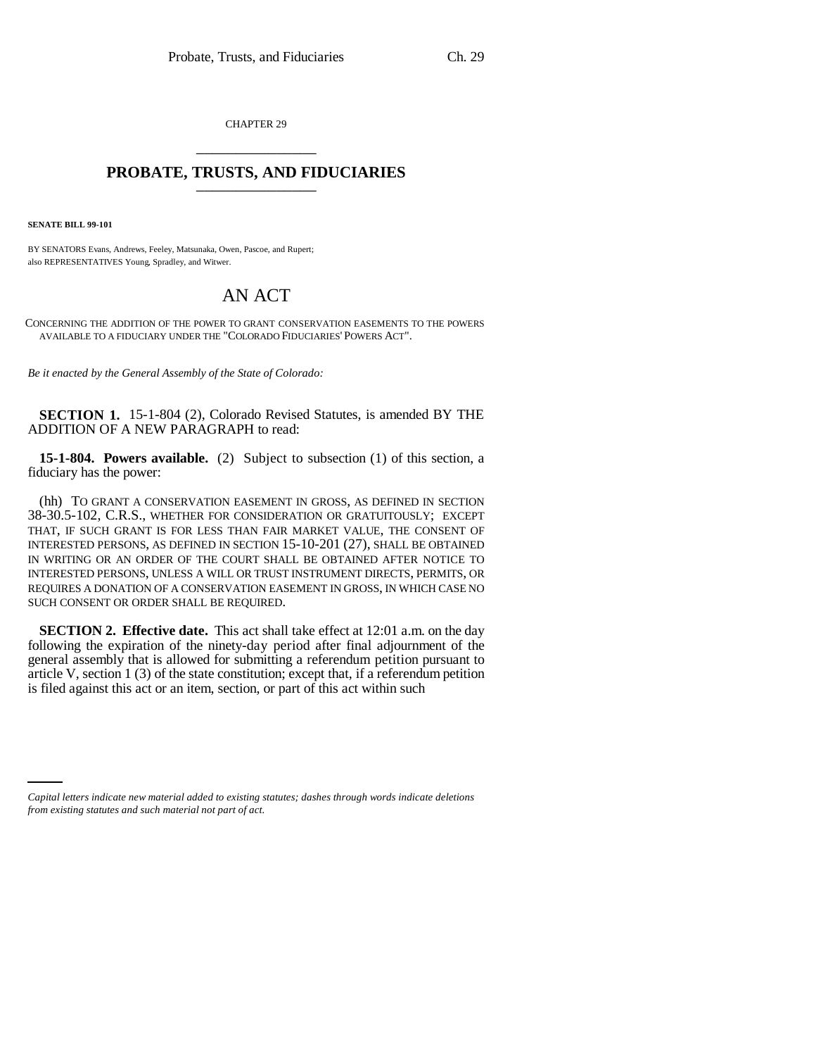CHAPTER 29 \_\_\_\_\_\_\_\_\_\_\_\_\_\_\_

## **PROBATE, TRUSTS, AND FIDUCIARIES** \_\_\_\_\_\_\_\_\_\_\_\_\_\_\_

**SENATE BILL 99-101**

BY SENATORS Evans, Andrews, Feeley, Matsunaka, Owen, Pascoe, and Rupert; also REPRESENTATIVES Young, Spradley, and Witwer.

## AN ACT

CONCERNING THE ADDITION OF THE POWER TO GRANT CONSERVATION EASEMENTS TO THE POWERS AVAILABLE TO A FIDUCIARY UNDER THE "COLORADO FIDUCIARIES' POWERS ACT".

*Be it enacted by the General Assembly of the State of Colorado:*

**SECTION 1.** 15-1-804 (2), Colorado Revised Statutes, is amended BY THE ADDITION OF A NEW PARAGRAPH to read:

**15-1-804. Powers available.** (2) Subject to subsection (1) of this section, a fiduciary has the power:

(hh) TO GRANT A CONSERVATION EASEMENT IN GROSS, AS DEFINED IN SECTION 38-30.5-102, C.R.S., WHETHER FOR CONSIDERATION OR GRATUITOUSLY; EXCEPT THAT, IF SUCH GRANT IS FOR LESS THAN FAIR MARKET VALUE, THE CONSENT OF INTERESTED PERSONS, AS DEFINED IN SECTION 15-10-201 (27), SHALL BE OBTAINED IN WRITING OR AN ORDER OF THE COURT SHALL BE OBTAINED AFTER NOTICE TO INTERESTED PERSONS, UNLESS A WILL OR TRUST INSTRUMENT DIRECTS, PERMITS, OR REQUIRES A DONATION OF A CONSERVATION EASEMENT IN GROSS, IN WHICH CASE NO SUCH CONSENT OR ORDER SHALL BE REQUIRED.

**SECTION 2. Effective date.** This act shall take effect at 12:01 a.m. on the day following the expiration of the ninety-day period after final adjournment of the general assembly that is allowed for submitting a referendum petition pursuant to article V, section 1 (3) of the state constitution; except that, if a referendum petition is filed against this act or an item, section, or part of this act within such

*Capital letters indicate new material added to existing statutes; dashes through words indicate deletions from existing statutes and such material not part of act.*